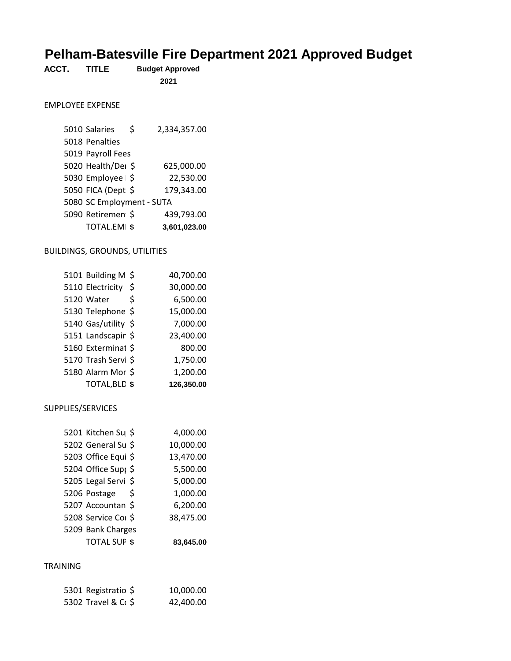# **Pelham-Batesville Fire Department 2021 Approved Budget**

| ACCT.<br><b>TITLE</b> | <b>Budget Approved</b> |
|-----------------------|------------------------|
|-----------------------|------------------------|

#### EMPLOYEE EXPENSE

| <b>TOTAL.EMI \$</b>       |   | 3,601,023.00 |
|---------------------------|---|--------------|
| 5090 Retiremen \$         |   | 439,793.00   |
| 5080 SC Employment - SUTA |   |              |
| 5050 FICA (Dept \$        |   | 179,343.00   |
| 5030 Employee   \$        |   | 22,530.00    |
| 5020 Health/Dei \$        |   | 625,000.00   |
| 5019 Payroll Fees         |   |              |
| 5018 Penalties            |   |              |
| 5010 Salaries             | Ś | 2,334,357.00 |

#### BUILDINGS, GROUNDS, UTILITIES

| 5101 Building M \$   |    | 40,700.00  |
|----------------------|----|------------|
| 5110 Electricity     | \$ | 30,000.00  |
| 5120 Water           | Ś  | 6,500.00   |
| 5130 Telephone \$    |    | 15,000.00  |
| 5140 Gas/utility \$  |    | 7,000.00   |
| 5151 Landscapir \$   |    | 23,400.00  |
| 5160 Exterminat \$   |    | 800.00     |
| 5170 Trash Servi \$  |    | 1,750.00   |
| 5180 Alarm Mor \$    |    | 1,200.00   |
| <b>TOTAL, BLD \$</b> |    | 126,350.00 |

#### SUPPLIES/SERVICES

| 5201 Kitchen Su \$              |    | 4,000.00  |
|---------------------------------|----|-----------|
| 5202 General Su \$              |    | 10,000.00 |
| 5203 Office Equi \$             |    | 13,470.00 |
| 5204 Office Sup <sub>1</sub> \$ |    | 5,500.00  |
| 5205 Legal Servi \$             |    | 5,000.00  |
| 5206 Postage                    | Š. | 1,000.00  |
| 5207 Accountan \$               |    | 6,200.00  |
| 5208 Service Col \$             |    | 38,475.00 |
| 5209 Bank Charges               |    |           |
| <b>TOTAL SUF \$</b>             |    | 83.645.00 |

## TRAINING

| 5301 Registratio \$ | 10,000.00 |
|---------------------|-----------|
| 5302 Travel & C+ \$ | 42,400.00 |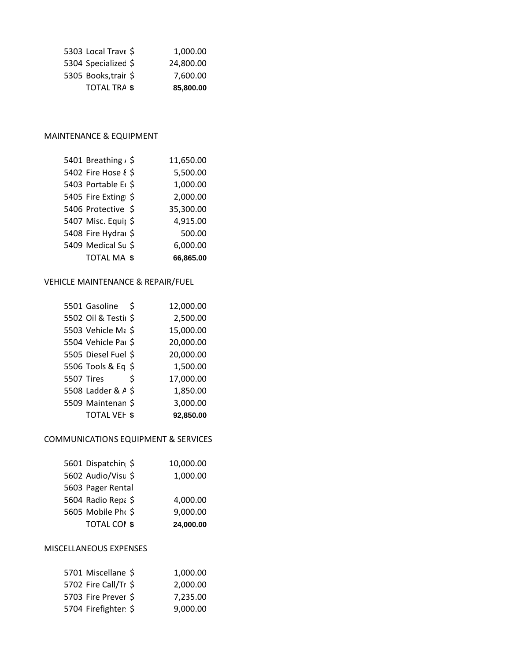| 5303 Local Trave \$  | 1.000.00  |
|----------------------|-----------|
| 5304 Specialized \$  | 24,800.00 |
| 5305 Books, trair \$ | 7.600.00  |
| TOTAL TRA \$         | 85,800,00 |

## MAINTENANCE & EQUIPMENT

| 5401 Breathing, \$             | 11,650.00 |
|--------------------------------|-----------|
| 5402 Fire Hose & \$            | 5,500.00  |
| 5403 Portable E <sub>(\$</sub> | 1,000.00  |
| 5405 Fire Exting \$            | 2,000.00  |
| 5406 Protective \$             | 35,300.00 |
| 5407 Misc. Equil \$            | 4,915.00  |
| 5408 Fire Hydraı \$            | 500.00    |
| 5409 Medical Su \$             | 6,000.00  |
| TOTAL MA \$                    | 66,865.00 |

## VEHICLE MAINTENANCE & REPAIR/FUEL

|                   | 5501 Gasoline        | - \$ | 12,000.00 |
|-------------------|----------------------|------|-----------|
|                   | 5502 Oil & Testil \$ |      | 2,500.00  |
|                   | 5503 Vehicle Ma \$   |      | 15,000.00 |
|                   | 5504 Vehicle Par \$  |      | 20,000.00 |
|                   | 5505 Diesel Fuel \$  |      | 20,000.00 |
|                   | 5506 Tools & Eq \$   |      | 1,500.00  |
| <b>5507 Tires</b> |                      | \$   | 17,000.00 |
|                   | 5508 Ladder & A \$   |      | 1,850.00  |
|                   | 5509 Maintenan \$    |      | 3,000.00  |
|                   | <b>TOTAL VEH \$</b>  |      | 92,850.00 |

#### COMMUNICATIONS EQUIPMENT & SERVICES

| 5601 Dispatchin \$  | 10,000.00 |
|---------------------|-----------|
| 5602 Audio/Visu \$  | 1,000.00  |
| 5603 Pager Rental   |           |
| 5604 Radio Repa \$  | 4,000.00  |
| 5605 Mobile Pho \$  | 9,000.00  |
| <b>TOTAL COI \$</b> | 24,000.00 |

## MISCELLANEOUS EXPENSES

| 5701 Miscellane \$   | 1.000.00 |
|----------------------|----------|
| 5702 Fire Call/Tr \$ | 2,000.00 |
| 5703 Fire Prever \$  | 7.235.00 |
| 5704 Firefighter: \$ | 9,000.00 |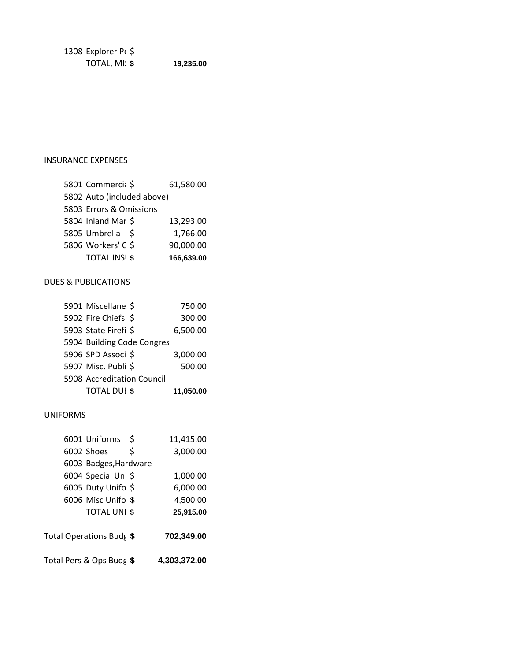Explorer Pt \$  $-$ **TOTAL, MI: \$** 19,235.00

## INSURANCE EXPENSES

| 5801 Commercia \$          | 61,580.00  |
|----------------------------|------------|
| 5802 Auto (included above) |            |
| 5803 Errors & Omissions    |            |
| 5804 Inland Mar \$         | 13,293.00  |
| 5805 Umbrella \$           | 1,766.00   |
| 5806 Workers' C \$         | 90,000.00  |
| <b>TOTAL INSI \$</b>       | 166,639.00 |

## DUES & PUBLICATIONS

| 5901 Miscellane \$         | 750.00    |
|----------------------------|-----------|
| 5902 Fire Chiefs' \$       | 300.00    |
| 5903 State Firefi \$       | 6,500.00  |
| 5904 Building Code Congres |           |
| 5906 SPD Associ \$         | 3,000.00  |
| 5907 Misc. Publi \$        | 500.00    |
| 5908 Accreditation Council |           |
| <b>TOTAL DUI \$</b>        | 11,050.00 |

#### UNIFORMS

| 6001 Uniforms            | \$ | 11,415.00    |
|--------------------------|----|--------------|
| 6002 Shoes               | \$ | 3,000.00     |
| 6003 Badges, Hardware    |    |              |
| 6004 Special Uni \$      |    | 1,000.00     |
| 6005 Duty Unifo \$       |    | 6,000.00     |
| 6006 Misc Unifo \$       |    | 4,500.00     |
| <b>TOTAL UNI \$</b>      |    | 25,915.00    |
| Total Operations Budg \$ |    | 702,349.00   |
| Total Pers & Ops Budg \$ |    | 4,303,372.00 |